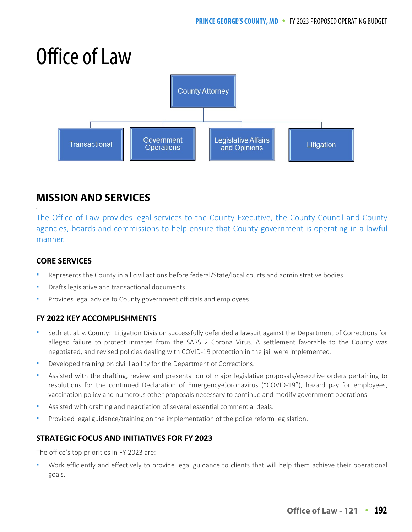# Office of Law



# **MISSION AND SERVICES**

The Office of Law provides legal services to the County Executive, the County Council and County agencies, boards and commissions to help ensure that County government is operating in a lawful manner.

## **CORE SERVICES**

- Represents the County in all civil actions before federal/State/local courts and administrative bodies
- Drafts legislative and transactional documents
- Provides legal advice to County government officials and employees

## **FY 2022 KEY ACCOMPLISHMENTS**

- Seth et. al. v. County: Litigation Division successfully defended a lawsuit against the Department of Corrections for alleged failure to protect inmates from the SARS 2 Corona Virus. A settlement favorable to the County was negotiated, and revised policies dealing with COVID-19 protection in the jail were implemented.
- Developed training on civil liability for the Department of Corrections.
- Assisted with the drafting, review and presentation of major legislative proposals/executive orders pertaining to resolutions for the continued Declaration of Emergency-Coronavirus ("COVID-19"), hazard pay for employees, vaccination policy and numerous other proposals necessary to continue and modify government operations.
- Assisted with drafting and negotiation of several essential commercial deals.
- Provided legal guidance/training on the implementation of the police reform legislation.

## **STRATEGIC FOCUS AND INITIATIVES FOR FY 2023**

The office's top priorities in FY 2023 are:

 Work efficiently and effectively to provide legal guidance to clients that will help them achieve their operational goals.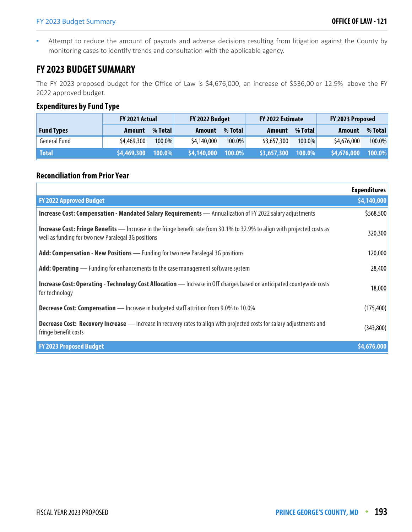Attempt to reduce the amount of payouts and adverse decisions resulting from litigation against the County by monitoring cases to identify trends and consultation with the applicable agency.

## **FY 2023 BUDGET SUMMARY**

The FY 2023 proposed budget for the Office of Law is \$4,676,000, an increase of \$536,00 or 12.9% above the FY 2022 approved budget.

## **Expenditures by Fund Type**

|                   | <b>FY 2021 Actual</b> |           |               | FY 2022 Budget |               | FY 2022 Estimate |             | FY 2023 Proposed |  |
|-------------------|-----------------------|-----------|---------------|----------------|---------------|------------------|-------------|------------------|--|
| <b>Fund Types</b> | <b>Amount</b>         | % Total   | <b>Amount</b> | % Total        | <b>Amount</b> | % Total          | Amount      | % Total          |  |
| General Fund      | \$4,469,300           | $100.0\%$ | \$4,140,000   | 100.0%         | \$3,657,300   | $100.0\%$        | \$4,676,000 | 100.0%           |  |
| <b>Total</b>      | \$4,469,300           | 100.0%    | \$4,140,000   | 100.0%         | \$3,657,300   | 100.0%           | \$4,676,000 | 100.0%           |  |

## **Reconciliation from Prior Year**

|                                                                                                                                                                                        | <b>Expenditures</b> |
|----------------------------------------------------------------------------------------------------------------------------------------------------------------------------------------|---------------------|
| <b>FY 2022 Approved Budget</b>                                                                                                                                                         | \$4,140,000         |
| <b>Increase Cost: Compensation - Mandated Salary Requirements</b> — Annualization of FY 2022 salary adjustments                                                                        | \$568,500           |
| <b>Increase Cost: Fringe Benefits</b> — Increase in the fringe benefit rate from 30.1% to 32.9% to align with projected costs as<br>well as funding for two new Paralegal 3G positions | 320,300             |
| Add: Compensation - New Positions - Funding for two new Paralegal 3G positions                                                                                                         | 120,000             |
| <b>Add: Operating</b> — Funding for enhancements to the case management software system                                                                                                | 28,400              |
| <b>Increase Cost: Operating - Technology Cost Allocation</b> - Increase in OIT charges based on anticipated countywide costs<br>for technology                                         | 18,000              |
| <b>Decrease Cost: Compensation</b> — Increase in budgeted staff attrition from 9.0% to 10.0%                                                                                           | (175, 400)          |
| <b>Decrease Cost: Recovery Increase</b> — Increase in recovery rates to align with projected costs for salary adjustments and<br>fringe benefit costs                                  | (343, 800)          |
| <b>FY 2023 Proposed Budget</b>                                                                                                                                                         | \$4,676,000         |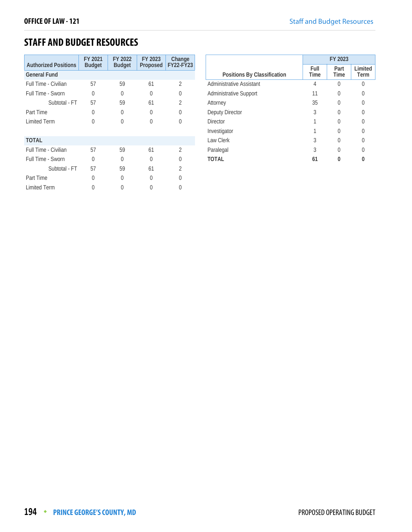## **STAFF AND BUDGET RESOURCES**

| <b>Authorized Positions</b> | FY 2021<br><b>Budget</b> | FY 2022<br><b>Budget</b> | FY 2023<br>Proposed | Change<br><b>FY22-FY23</b> |
|-----------------------------|--------------------------|--------------------------|---------------------|----------------------------|
| <b>General Fund</b>         |                          |                          |                     |                            |
| Full Time - Civilian        | 57                       | 59                       | 61                  | 2                          |
| Full Time - Sworn           | 0                        | 0                        | O                   | $\left( \right)$           |
| Subtotal - FT               | 57                       | 59                       | 61                  | 2                          |
| Part Time                   | 0                        | U                        | 0                   | 0                          |
| <b>Limited Term</b>         | 0                        | U                        | O                   |                            |
| <b>TOTAL</b>                |                          |                          |                     |                            |
| Full Time - Civilian        | 57                       | 59                       | 61                  | $\mathfrak{D}$             |
| Full Time - Sworn           | 0                        | U                        | U                   | Λ                          |
| Subtotal - FT               | 57                       | 59                       | 61                  | 2                          |
| Part Time                   | 0                        | U                        | U                   |                            |
| <b>Limited Term</b>         |                          |                          |                     |                            |

|                               | FY 2023      |                  |                 |
|-------------------------------|--------------|------------------|-----------------|
| Positions By Classification   | Full<br>Time | Part<br>Time     | Limited<br>Term |
| Administrative Assistant      | 4            | 0                | Λ               |
| <b>Administrative Support</b> | 11           | $\left( \right)$ | U               |
| Attorney                      | 35           | $\left( \right)$ |                 |
| Deputy Director               | 3            | 0                |                 |
| <b>Director</b>               |              |                  |                 |
| Investigator                  |              |                  |                 |
| Law Clerk                     | 3            | $\left( \right)$ |                 |
| Paralegal                     | 3            | Ω                | Λ               |
| TOTAL                         | 61           |                  |                 |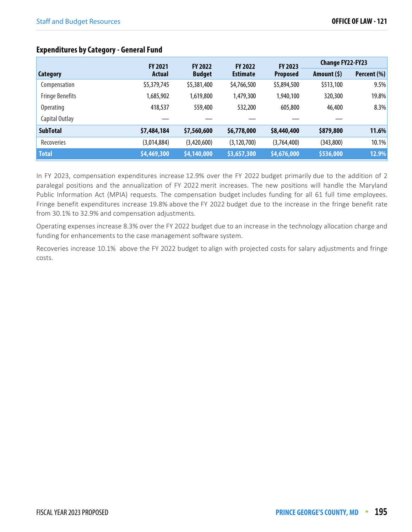|                        | <b>FY 2021</b><br><b>FY 2022</b><br><b>FY 2022</b> |               | FY 2023         | <b>Change FY22-FY23</b> |              |             |
|------------------------|----------------------------------------------------|---------------|-----------------|-------------------------|--------------|-------------|
| <b>Category</b>        | <b>Actual</b>                                      | <b>Budget</b> | <b>Estimate</b> | <b>Proposed</b>         | Amount $(5)$ | Percent (%) |
| Compensation           | \$5,379,745                                        | \$5,381,400   | \$4,766,500     | \$5,894,500             | \$513,100    | 9.5%        |
| <b>Fringe Benefits</b> | ,685,902                                           | 1,619,800     | 1,479,300       | 1,940,100               | 320,300      | 19.8%       |
| Operating              | 418,537                                            | 559,400       | 532,200         | 605,800                 | 46,400       | 8.3%        |
| Capital Outlay         |                                                    |               |                 |                         |              |             |
| <b>SubTotal</b>        | \$7,484,184                                        | \$7,560,600   | \$6,778,000     | \$8,440,400             | \$879,800    | 11.6%       |
| Recoveries             | (3,014,884)                                        | (3,420,600)   | (3, 120, 700)   | (3,764,400)             | (343, 800)   | 10.1%       |
| <b>Total</b>           | \$4,469,300                                        | \$4,140,000   | \$3,657,300     | \$4,676,000             | \$536,000    | 12.9%       |

## **Expenditures by Category - General Fund**

In FY 2023, compensation expenditures increase 12.9% over the FY 2022 budget primarily due to the addition of 2 paralegal positions and the annualization of FY 2022 merit increases. The new positions will handle the Maryland Public Information Act (MPIA) requests. The compensation budget includes funding for all 61 full time employees. Fringe benefit expenditures increase 19.8% above the FY 2022 budget due to the increase in the fringe benefit rate from 30.1% to 32.9% and compensation adjustments.

Operating expenses increase 8.3% over the FY 2022 budget due to an increase in the technology allocation charge and funding for enhancements to the case management software system.

Recoveries increase 10.1% above the FY 2022 budget to align with projected costs for salary adjustments and fringe costs.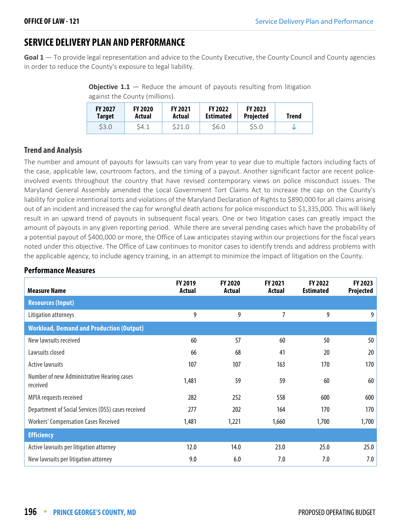## **SERVICE DELIVERY PLAN AND PERFORMANCE**

**Goal 1** — To provide legal representation and advice to the County Executive, the County Council and County agencies in order to reduce the County's exposure to legal liability.

**Objective 1.1** – Reduce the amount of payouts resulting from litigation against the County (millions).

| <b>FY 2027</b> | <b>FY 2020</b> | <b>FY 2021</b> | <b>FY 2022</b>   | <b>FY 2023</b>   | Trend |
|----------------|----------------|----------------|------------------|------------------|-------|
| Target         | Actual         | Actual         | <b>Estimated</b> | <b>Projected</b> |       |
| <b>\$3.0</b>   | S4.1           | S21.0          | \$6.0            | \$5.0            |       |

## **Trend and Analysis**

The number and amount of payouts for lawsuits can vary from year to year due to multiple factors including facts of the case, applicable law, courtroom factors, and the timing of a payout. Another significant factor are recent policeinvolved events throughout the country that have revised contemporary views on police misconduct issues. The Maryland General Assembly amended the Local Government Tort Claims Act to increase the cap on the County's liability for police intentional torts and violations of the Maryland Declaration of Rights to \$890,000 for all claims arising out of an incident and increased the cap for wrongful death actions for police misconduct to \$1,335,000. This will likely result in an upward trend of payouts in subsequent fiscal years. One or two litigation cases can greatly impact the amount of payouts in any given reporting period. While there are several pending cases which have the probability of a potential payout of \$400,000 or more, the Office of Law anticipates staying within our projections for the fiscal years noted under this objective. The Office of Law continues to monitor cases to identify trends and address problems with the applicable agency, to include agency training, in an attempt to minimize the impact of litigation on the County.

## **Performance Measures**

| <b>Measure Name</b>                                    | FY 2019<br><b>Actual</b> | FY 2020<br><b>Actual</b> | FY 2021<br><b>Actual</b> | FY 2022<br><b>Estimated</b> | FY 2023<br>Projected |
|--------------------------------------------------------|--------------------------|--------------------------|--------------------------|-----------------------------|----------------------|
| <b>Resources (Input)</b>                               |                          |                          |                          |                             |                      |
| Litigation attorneys                                   | 9                        | 9                        | 7                        | 9                           | 9                    |
| <b>Workload, Demand and Production (Output)</b>        |                          |                          |                          |                             |                      |
| New lawsuits received                                  | 60                       | 57                       | 60                       | 50                          | 50                   |
| Lawsuits closed                                        | 66                       | 68                       | 41                       | 20                          | 20                   |
| <b>Active lawsuits</b>                                 | 107                      | 107                      | 163                      | 170                         | 170                  |
| Number of new Administrative Hearing cases<br>received | 1,481                    | 59                       | 59                       | 60                          | 60                   |
| MPIA requests received                                 | 282                      | 252                      | 558                      | 600                         | 600                  |
| Department of Social Services (DSS) cases received     | 277                      | 202                      | 164                      | 170                         | 170                  |
| <b>Workers' Compensation Cases Received</b>            | 1,481                    | 1,221                    | 1,660                    | 1,700                       | 1,700                |
| <b>Efficiency</b>                                      |                          |                          |                          |                             |                      |
| Active lawsuits per litigation attorney                | 12.0                     | 14.0                     | 23.0                     | 25.0                        | 25.0                 |
| New lawsuits per litigation attorney                   | 9.0                      | 6.0                      | 7.0                      | 7.0                         | 7.0                  |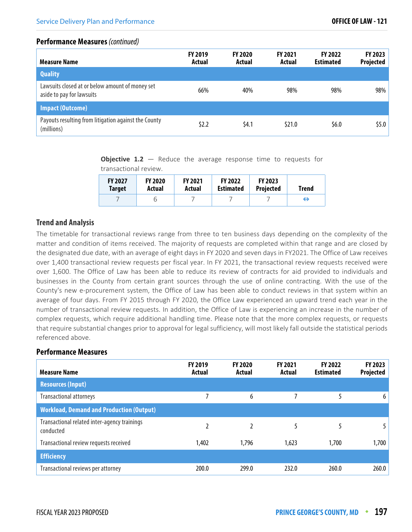#### **Performance Measures** (continued)

| <b>Measure Name</b>                                                          | <b>FY 2019</b><br>Actual | <b>FY 2020</b><br>Actual | <b>FY 2021</b><br>Actual | <b>FY 2022</b><br><b>Estimated</b> | FY 2023<br>Projected |
|------------------------------------------------------------------------------|--------------------------|--------------------------|--------------------------|------------------------------------|----------------------|
| <b>Quality</b>                                                               |                          |                          |                          |                                    |                      |
| Lawsuits closed at or below amount of money set<br>aside to pay for lawsuits | 66%                      | 40%                      | 98%                      | 98%                                | 98%                  |
| <b>Impact (Outcome)</b>                                                      |                          |                          |                          |                                    |                      |
| Payouts resulting from litigation against the County<br>(millions)           | \$2.2                    | \$4.1                    | \$21.0                   | \$6.0                              | \$5.0\$              |

**Objective 1.2** – Reduce the average response time to requests for transactional review.

| <b>FY 2027</b> | <b>FY 2020</b> | <b>FY 2021</b> | <b>FY 2022</b>   | <b>FY 2023</b>   | Trend |
|----------------|----------------|----------------|------------------|------------------|-------|
| Target         | Actual         | Actual         | <b>Estimated</b> | <b>Projected</b> |       |
|                |                |                |                  |                  | ⊖     |

## **Trend and Analysis**

The timetable for transactional reviews range from three to ten business days depending on the complexity of the matter and condition of items received. The majority of requests are completed within that range and are closed by the designated due date, with an average of eight days in FY 2020 and seven days in FY2021. The Office of Law receives over 1,400 transactional review requests per fiscal year. In FY 2021, the transactional review requests received were over 1,600. The Office of Law has been able to reduce its review of contracts for aid provided to individuals and businesses in the County from certain grant sources through the use of online contracting. With the use of the County's new e-procurement system, the Office of Law has been able to conduct reviews in that system within an average of four days. From FY 2015 through FY 2020, the Office Law experienced an upward trend each year in the number of transactional review requests. In addition, the Office of Law is experiencing an increase in the number of complex requests, which require additional handling time. Please note that the more complex requests, or requests that require substantial changes prior to approval for legal sufficiency, will most likely fall outside the statistical periods referenced above.

## **Performance Measures**

| <b>Measure Name</b>                                       | <b>FY 2019</b><br>Actual | <b>FY 2020</b><br>Actual | <b>FY 2021</b><br>Actual | <b>FY 2022</b><br><b>Estimated</b> | FY 2023<br>Projected |
|-----------------------------------------------------------|--------------------------|--------------------------|--------------------------|------------------------------------|----------------------|
| <b>Resources (Input)</b>                                  |                          |                          |                          |                                    |                      |
| <b>Transactional attorneys</b>                            |                          | 6                        |                          |                                    | 6                    |
| <b>Workload, Demand and Production (Output)</b>           |                          |                          |                          |                                    |                      |
| Transactional related inter-agency trainings<br>conducted |                          |                          | 5                        | 5                                  |                      |
| Transactional review requests received                    | 1,402                    | 1,796                    | 1,623                    | 1,700                              | 1,700                |
| <b>Efficiency</b>                                         |                          |                          |                          |                                    |                      |
| Transactional reviews per attorney                        | 200.0                    | 299.0                    | 232.0                    | 260.0                              | 260.0                |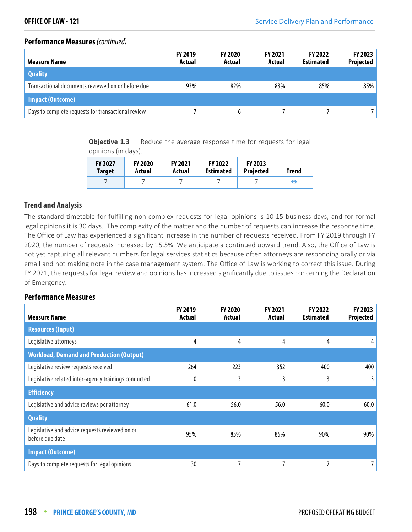#### **Performance Measures** (continued)

| <b>Measure Name</b>                                | <b>FY 2019</b><br>Actual | <b>FY 2020</b><br>Actual | <b>FY 2021</b><br>Actual | <b>FY 2022</b><br><b>Estimated</b> | <b>FY 2023</b><br><b>Projected</b> |
|----------------------------------------------------|--------------------------|--------------------------|--------------------------|------------------------------------|------------------------------------|
| <b>Quality</b>                                     |                          |                          |                          |                                    |                                    |
| Transactional documents reviewed on or before due  | 93%                      | 82%                      | 83%                      | 85%                                | 85%                                |
| <b>Impact (Outcome)</b>                            |                          |                          |                          |                                    |                                    |
| Days to complete requests for transactional review |                          | <sub>b</sub>             |                          |                                    |                                    |

**Objective 1.3** – Reduce the average response time for requests for legal opinions (in days).

| <b>FY 2027</b> | <b>FY 2020</b> | <b>FY 2021</b> | <b>FY 2022</b>   | <b>FY 2023</b>   | Trend |
|----------------|----------------|----------------|------------------|------------------|-------|
| <b>Target</b>  | Actual         | Actual         | <b>Estimated</b> | <b>Projected</b> |       |
|                |                |                |                  |                  | ⊖     |

## **Trend and Analysis**

The standard timetable for fulfilling non-complex requests for legal opinions is 10-15 business days, and for formal legal opinions it is 30 days. The complexity of the matter and the number of requests can increase the response time. The Office of Law has experienced a significant increase in the number of requests received. From FY 2019 through FY 2020, the number of requests increased by 15.5%. We anticipate a continued upward trend. Also, the Office of Law is not yet capturing all relevant numbers for legal services statistics because often attorneys are responding orally or via email and not making note in the case management system. The Office of Law is working to correct this issue. During FY 2021, the requests for legal review and opinions has increased significantly due to issues concerning the Declaration of Emergency.

## **Performance Measures**

| <b>Measure Name</b>                                               | <b>FY 2019</b><br>Actual | <b>FY 2020</b><br>Actual | <b>FY 2021</b><br>Actual | <b>FY 2022</b><br><b>Estimated</b> | <b>FY 2023</b><br>Projected |
|-------------------------------------------------------------------|--------------------------|--------------------------|--------------------------|------------------------------------|-----------------------------|
| <b>Resources (Input)</b>                                          |                          |                          |                          |                                    |                             |
| Legislative attorneys                                             | 4                        | 4                        | 4                        | 4                                  | 4                           |
| <b>Workload, Demand and Production (Output)</b>                   |                          |                          |                          |                                    |                             |
| Legislative review requests received                              | 264                      | 223                      | 352                      | 400                                | 400                         |
| Legislative related inter-agency trainings conducted              | 0                        | 3                        | 3                        | 3                                  | 3                           |
| <b>Efficiency</b>                                                 |                          |                          |                          |                                    |                             |
| Legislative and advice reviews per attorney                       | 61.0                     | 56.0                     | 56.0                     | 60.0                               | 60.0                        |
| <b>Quality</b>                                                    |                          |                          |                          |                                    |                             |
| Legislative and advice requests reviewed on or<br>before due date | 95%                      | 85%                      | 85%                      | 90%                                | 90%                         |
| <b>Impact (Outcome)</b>                                           |                          |                          |                          |                                    |                             |
| Days to complete requests for legal opinions                      | 30                       | 7                        |                          | 7                                  | 7                           |